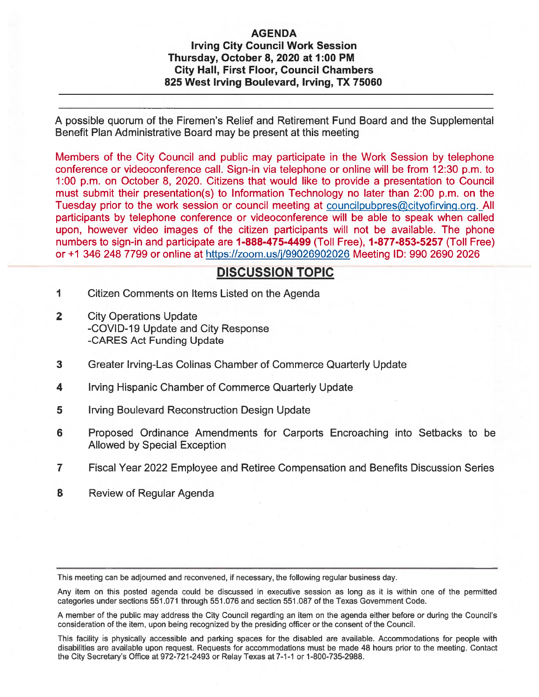## AGENDA Irving City Council Work Session Thursday, October 8, 2020 at 1:00 PM City Hall, First Floor, Council Chambers 825 West Irving Boulevard, Irving, TX 75060

A possible quorum of the Firemen's Relief and Retirement Fund Board and the Supplemental Benefit Plan Administrative Board may be presen<sup>t</sup> at this meeting

Members of the City Council and public may participate in the Work Session by telephone conference or videoconference call. Sign-in via telephone or online will be from 12:30 p.m. to 1:00 p.m. on October 8, 2020. Citizens that would like to provide <sup>a</sup> presentation to Council must submit their presentation(s) to Information Technology no later than 2:00 p.m. on the Tuesday prior to the work session or council meeting at councilpubpres@cityofirving.org. All participants by telephone conference or videoconference will be able to speak when called upon, however video images of the citizen participants will not be available. The phone numbers to sign-in and participate are 1-888-475-4499 (Toll Free), 1-877-853-5257 (Toll Free) or +1 346 248 7799 or online at httrs://zoom.us/i/99026902026 Meeting ID: 990 2690 2026

## DISCUSSION TOPIC

- 1 Citizen Comments on Items Listed on the Agenda
- 2 City Operations Update -COVID-19 Update and City Response -CARES Act Funding Update
- 3 Greater Irving-Las Colinas Chamber of Commerce Quarterly Update
- 4 Irving Hispanic Chamber of Commerce Quarterly Update
- 5 Irving Boulevard Reconstruction Design Update
- 6 Proposed Ordinance Amendments for Carports Encroaching into Setbacks to be Allowed by Special Exception
- 7 Fiscal Year 2022 Employee and Retiree Compensation and Benefits Discussion Series
- 8 Review of Regular Agenda

This meeting can be adjourned and reconvened, if necessary, the following regular business day.

Any item on this posted agenda could be discussed in executive session as long as it is within one of the permitted categories under sections 551 .071 through 551.076 and section 551.087 of the Texas Government Code.

A member of the public may address the City Council regarding an item on the agenda either before or during the Council's consideration of the item, upon being recognized by the presiding officer or the consent of the Council.

This facility is physically accessible and parking spaces for the disabled are available. Accommodations for people with disabilities are available upon request. Requests for accommodations must be made 48 hours prior to the meeting. Contact the City Secretary's Office at 972-721-2493 or Relay Texas at 7-1-1 or 1-800-735-2988.